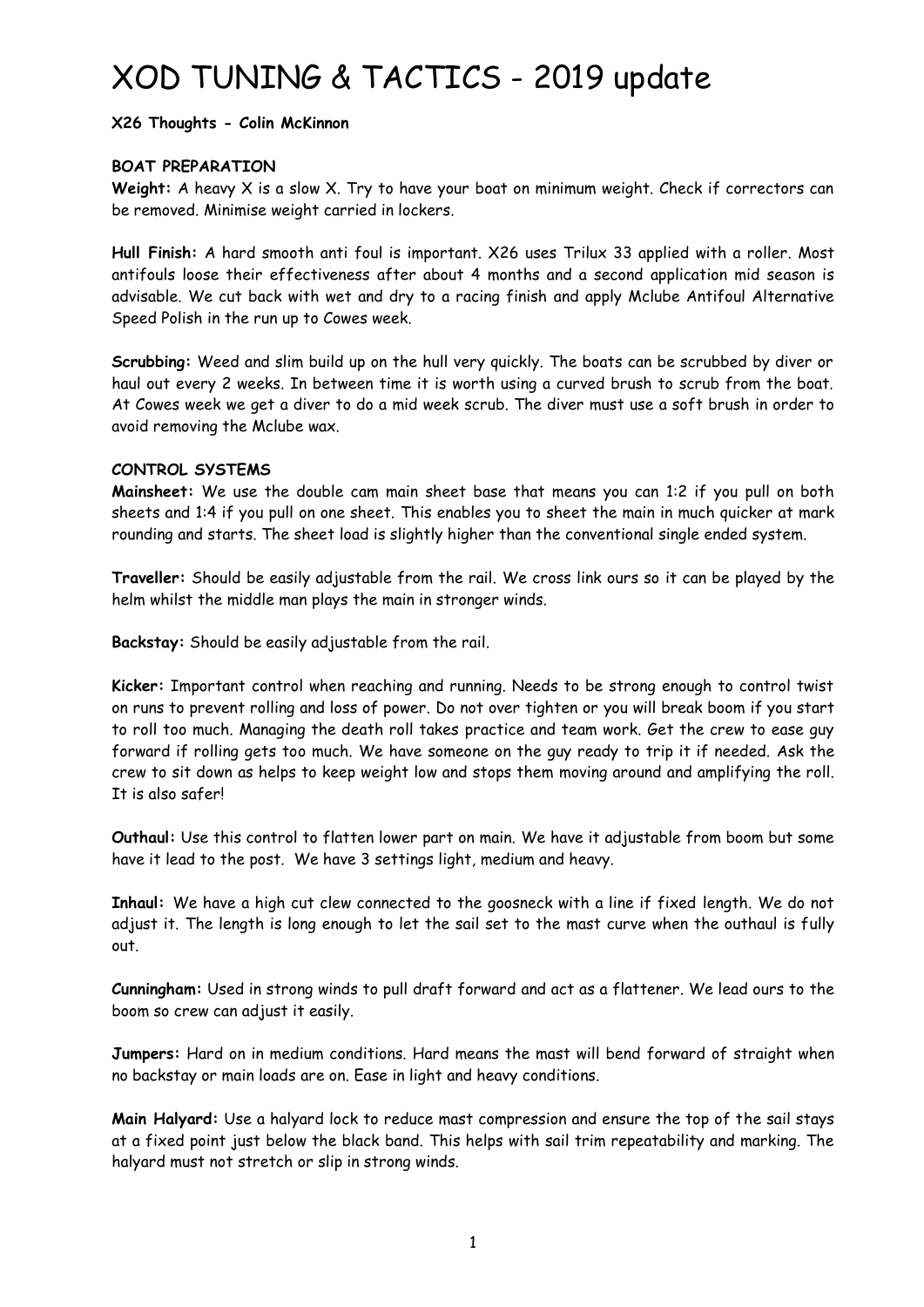#### **X26 Thoughts - Colin McKinnon**

## **BOAT PREPARATION**

**Weight:** A heavy X is a slow X. Try to have your boat on minimum weight. Check if correctors can be removed. Minimise weight carried in lockers.

**Hull Finish:** A hard smooth anti foul is important. X26 uses Trilux 33 applied with a roller. Most antifouls loose their effectiveness after about 4 months and a second application mid season is advisable. We cut back with wet and dry to a racing finish and apply Mclube Antifoul Alternative Speed Polish in the run up to Cowes week.

**Scrubbing:** Weed and slim build up on the hull very quickly. The boats can be scrubbed by diver or haul out every 2 weeks. In between time it is worth using a curved brush to scrub from the boat. At Cowes week we get a diver to do a mid week scrub. The diver must use a soft brush in order to avoid removing the Mclube wax.

## **CONTROL SYSTEMS**

**Mainsheet:** We use the double cam main sheet base that means you can 1:2 if you pull on both sheets and 1:4 if you pull on one sheet. This enables you to sheet the main in much quicker at mark rounding and starts. The sheet load is slightly higher than the conventional single ended system.

**Traveller:** Should be easily adjustable from the rail. We cross link ours so it can be played by the helm whilst the middle man plays the main in stronger winds.

**Backstay:** Should be easily adjustable from the rail.

**Kicker:** Important control when reaching and running. Needs to be strong enough to control twist on runs to prevent rolling and loss of power. Do not over tighten or you will break boom if you start to roll too much. Managing the death roll takes practice and team work. Get the crew to ease guy forward if rolling gets too much. We have someone on the guy ready to trip it if needed. Ask the crew to sit down as helps to keep weight low and stops them moving around and amplifying the roll. It is also safer!

**Outhaul:** Use this control to flatten lower part on main. We have it adjustable from boom but some have it lead to the post. We have 3 settings light, medium and heavy.

**Inhaul:** We have a high cut clew connected to the goosneck with a line if fixed length. We do not adjust it. The length is long enough to let the sail set to the mast curve when the outhaul is fully out.

**Cunningham:** Used in strong winds to pull draft forward and act as a flattener. We lead ours to the boom so crew can adjust it easily.

**Jumpers:** Hard on in medium conditions. Hard means the mast will bend forward of straight when no backstay or main loads are on. Ease in light and heavy conditions.

**Main Halyard:** Use a halyard lock to reduce mast compression and ensure the top of the sail stays at a fixed point just below the black band. This helps with sail trim repeatability and marking. The halyard must not stretch or slip in strong winds.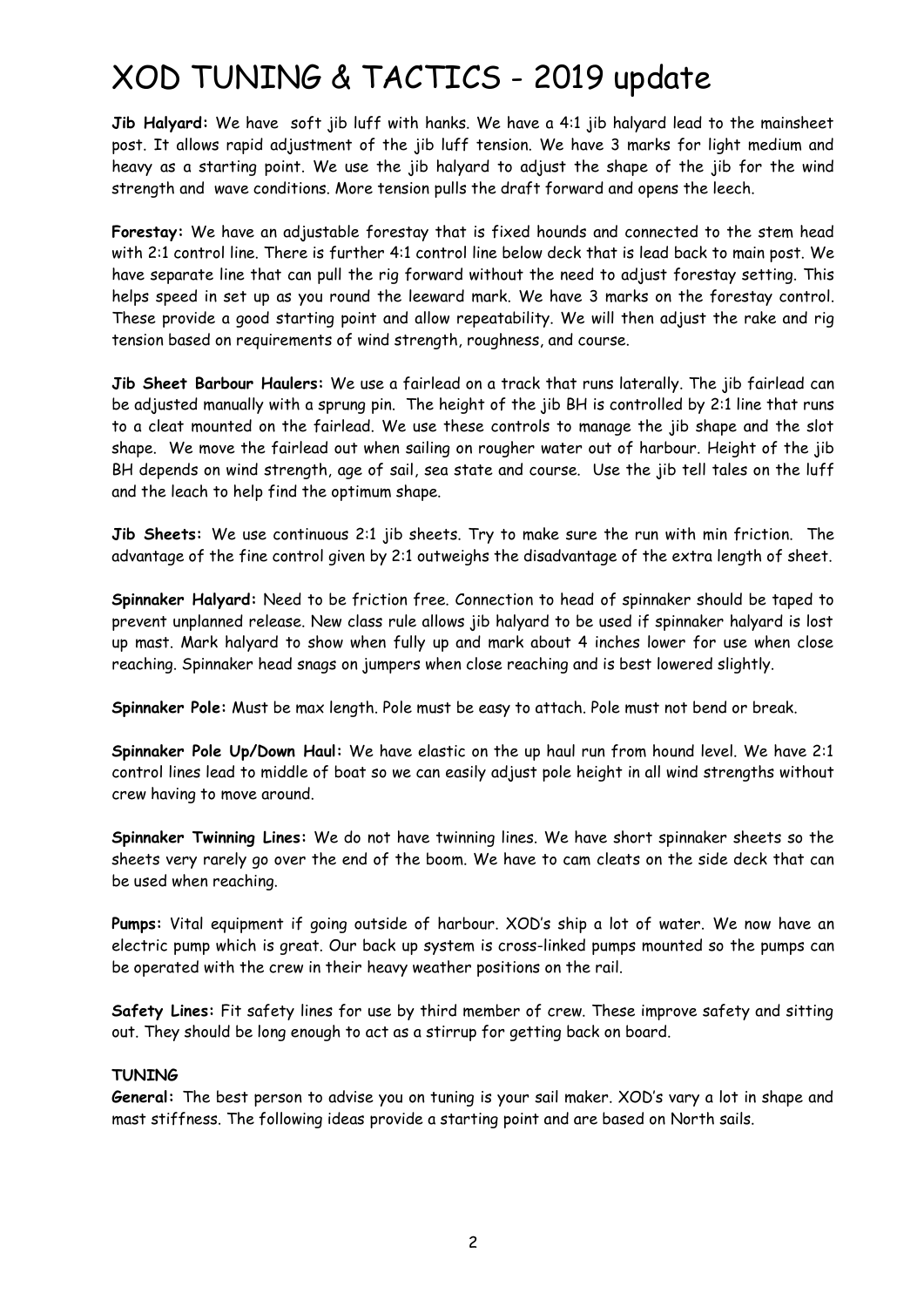**Jib Halyard:** We have soft jib luff with hanks. We have a 4:1 jib halyard lead to the mainsheet post. It allows rapid adjustment of the jib luff tension. We have 3 marks for light medium and heavy as a starting point. We use the jib halyard to adjust the shape of the jib for the wind strength and wave conditions. More tension pulls the draft forward and opens the leech.

**Forestay:** We have an adjustable forestay that is fixed hounds and connected to the stem head with 2:1 control line. There is further 4:1 control line below deck that is lead back to main post. We have separate line that can pull the rig forward without the need to adjust forestay setting. This helps speed in set up as you round the leeward mark. We have 3 marks on the forestay control. These provide a good starting point and allow repeatability. We will then adjust the rake and rig tension based on requirements of wind strength, roughness, and course.

**Jib Sheet Barbour Haulers:** We use a fairlead on a track that runs laterally. The jib fairlead can be adjusted manually with a sprung pin. The height of the jib BH is controlled by 2:1 line that runs to a cleat mounted on the fairlead. We use these controls to manage the jib shape and the slot shape. We move the fairlead out when sailing on rougher water out of harbour. Height of the jib BH depends on wind strength, age of sail, sea state and course. Use the jib tell tales on the luff and the leach to help find the optimum shape.

**Jib Sheets:** We use continuous 2:1 jib sheets. Try to make sure the run with min friction. The advantage of the fine control given by 2:1 outweighs the disadvantage of the extra length of sheet.

**Spinnaker Halyard:** Need to be friction free. Connection to head of spinnaker should be taped to prevent unplanned release. New class rule allows jib halyard to be used if spinnaker halyard is lost up mast. Mark halyard to show when fully up and mark about 4 inches lower for use when close reaching. Spinnaker head snags on jumpers when close reaching and is best lowered slightly.

**Spinnaker Pole:** Must be max length. Pole must be easy to attach. Pole must not bend or break.

**Spinnaker Pole Up/Down Haul:** We have elastic on the up haul run from hound level. We have 2:1 control lines lead to middle of boat so we can easily adjust pole height in all wind strengths without crew having to move around.

**Spinnaker Twinning Lines:** We do not have twinning lines. We have short spinnaker sheets so the sheets very rarely go over the end of the boom. We have to cam cleats on the side deck that can be used when reaching.

**Pumps:** Vital equipment if going outside of harbour. XOD's ship a lot of water. We now have an electric pump which is great. Our back up system is cross-linked pumps mounted so the pumps can be operated with the crew in their heavy weather positions on the rail.

**Safety Lines:** Fit safety lines for use by third member of crew. These improve safety and sitting out. They should be long enough to act as a stirrup for getting back on board.

#### **TUNING**

**General:** The best person to advise you on tuning is your sail maker. XOD's vary a lot in shape and mast stiffness. The following ideas provide a starting point and are based on North sails.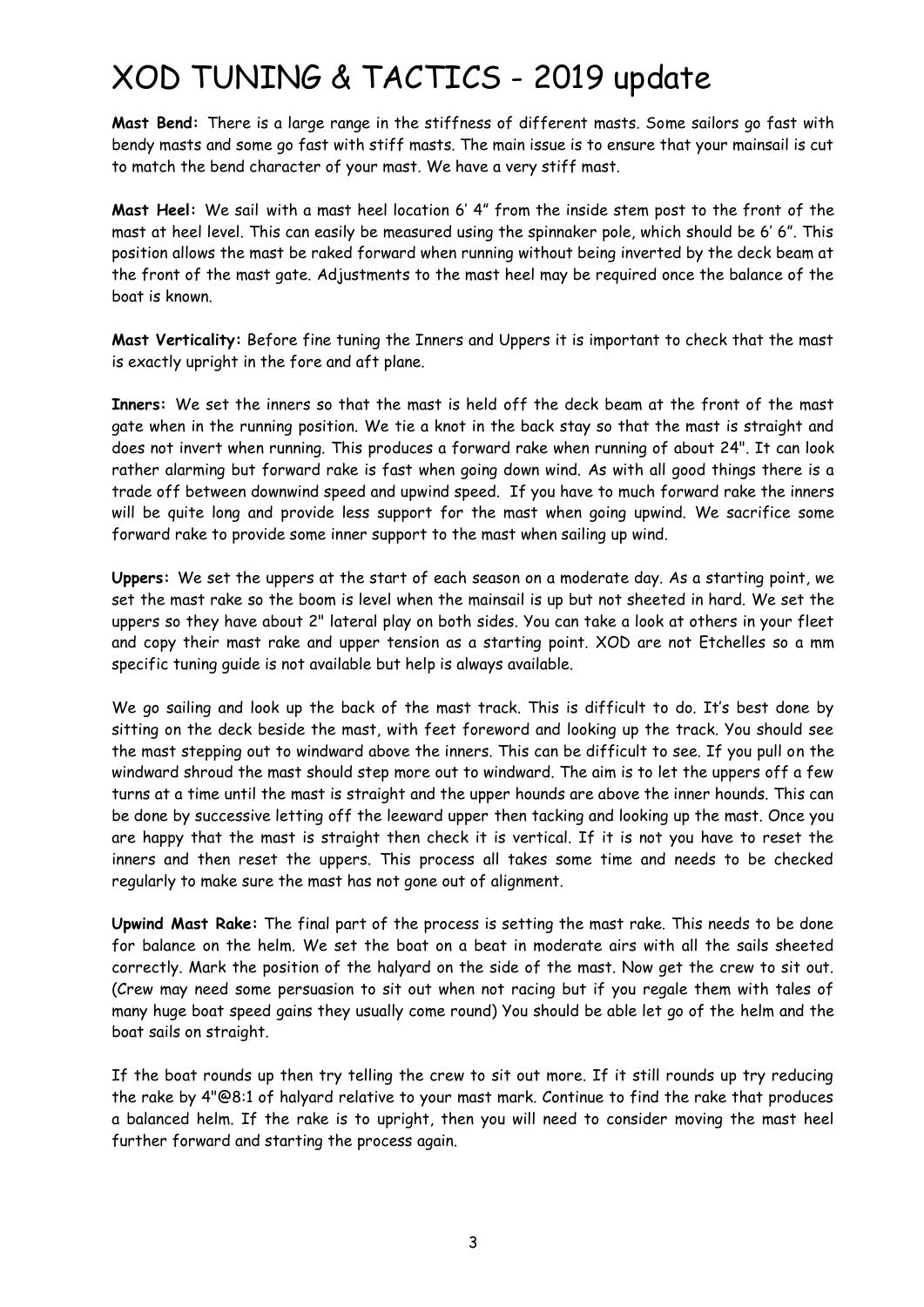**Mast Bend:** There is a large range in the stiffness of different masts. Some sailors go fast with bendy masts and some go fast with stiff masts. The main issue is to ensure that your mainsail is cut to match the bend character of your mast. We have a very stiff mast.

**Mast Heel:** We sail with a mast heel location 6' 4" from the inside stem post to the front of the mast at heel level. This can easily be measured using the spinnaker pole, which should be 6' 6". This position allows the mast be raked forward when running without being inverted by the deck beam at the front of the mast gate. Adjustments to the mast heel may be required once the balance of the boat is known.

**Mast Verticality:** Before fine tuning the Inners and Uppers it is important to check that the mast is exactly upright in the fore and aft plane.

**Inners:** We set the inners so that the mast is held off the deck beam at the front of the mast gate when in the running position. We tie a knot in the back stay so that the mast is straight and does not invert when running. This produces a forward rake when running of about 24". It can look rather alarming but forward rake is fast when going down wind. As with all good things there is a trade off between downwind speed and upwind speed. If you have to much forward rake the inners will be quite long and provide less support for the mast when going upwind. We sacrifice some forward rake to provide some inner support to the mast when sailing up wind.

**Uppers:** We set the uppers at the start of each season on a moderate day. As a starting point, we set the mast rake so the boom is level when the mainsail is up but not sheeted in hard. We set the uppers so they have about 2" lateral play on both sides. You can take a look at others in your fleet and copy their mast rake and upper tension as a starting point. XOD are not Etchelles so a mm specific tuning guide is not available but help is always available.

We go sailing and look up the back of the mast track. This is difficult to do. It's best done by sitting on the deck beside the mast, with feet foreword and looking up the track. You should see the mast stepping out to windward above the inners. This can be difficult to see. If you pull on the windward shroud the mast should step more out to windward. The aim is to let the uppers off a few turns at a time until the mast is straight and the upper hounds are above the inner hounds. This can be done by successive letting off the leeward upper then tacking and looking up the mast. Once you are happy that the mast is straight then check it is vertical. If it is not you have to reset the inners and then reset the uppers. This process all takes some time and needs to be checked regularly to make sure the mast has not gone out of alignment.

**Upwind Mast Rake:** The final part of the process is setting the mast rake. This needs to be done for balance on the helm. We set the boat on a beat in moderate airs with all the sails sheeted correctly. Mark the position of the halyard on the side of the mast. Now get the crew to sit out. (Crew may need some persuasion to sit out when not racing but if you regale them with tales of many huge boat speed gains they usually come round) You should be able let go of the helm and the boat sails on straight.

If the boat rounds up then try telling the crew to sit out more. If it still rounds up try reducing the rake by 4"@8:1 of halyard relative to your mast mark. Continue to find the rake that produces a balanced helm. If the rake is to upright, then you will need to consider moving the mast heel further forward and starting the process again.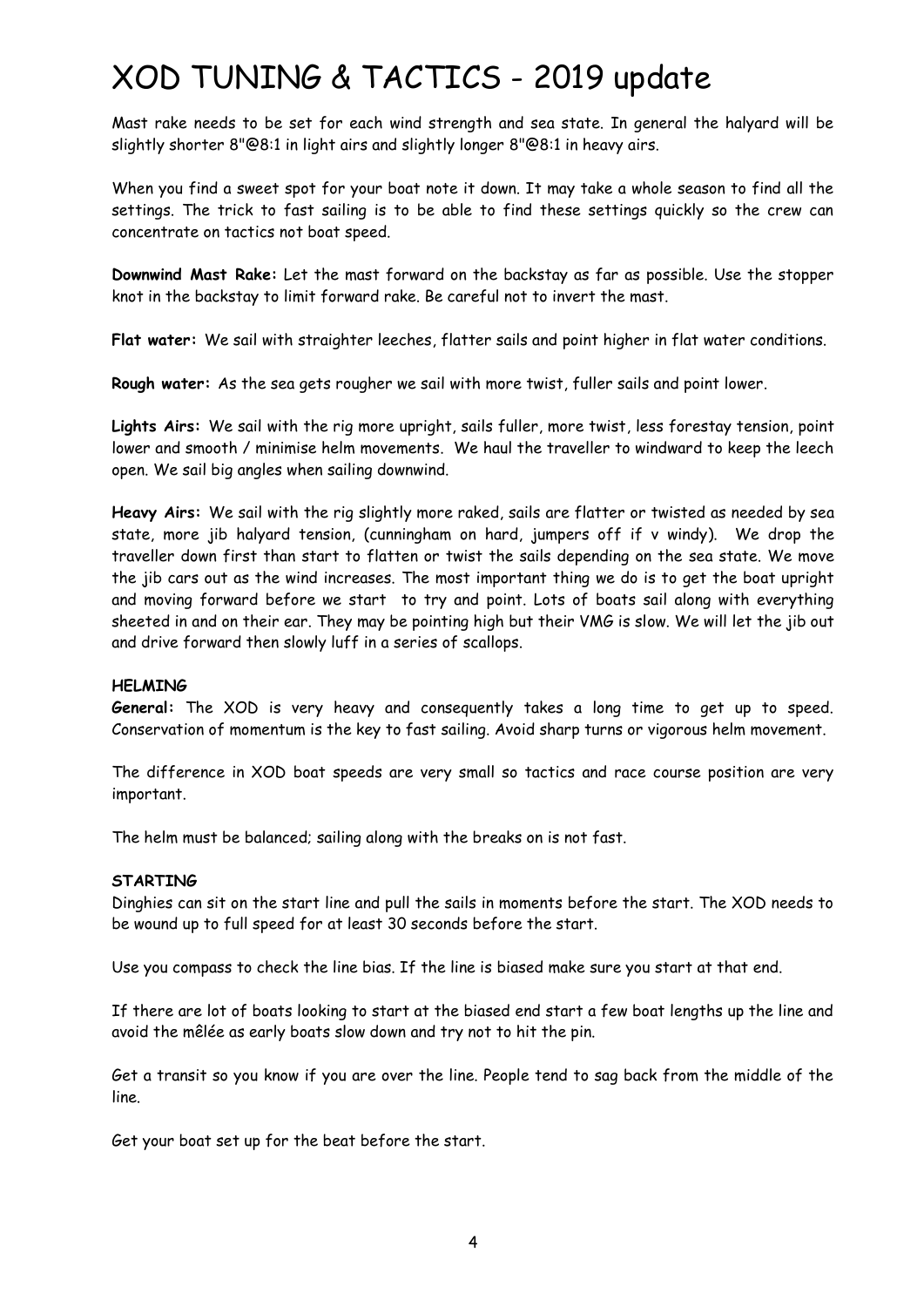Mast rake needs to be set for each wind strength and sea state. In general the halyard will be slightly shorter 8"@8:1 in light airs and slightly longer 8"@8:1 in heavy airs.

When you find a sweet spot for your boat note it down. It may take a whole season to find all the settings. The trick to fast sailing is to be able to find these settings quickly so the crew can concentrate on tactics not boat speed.

**Downwind Mast Rake:** Let the mast forward on the backstay as far as possible. Use the stopper knot in the backstay to limit forward rake. Be careful not to invert the mast.

**Flat water:** We sail with straighter leeches, flatter sails and point higher in flat water conditions.

**Rough water:** As the sea gets rougher we sail with more twist, fuller sails and point lower.

**Lights Airs:** We sail with the rig more upright, sails fuller, more twist, less forestay tension, point lower and smooth / minimise helm movements. We haul the traveller to windward to keep the leech open. We sail big angles when sailing downwind.

**Heavy Airs:** We sail with the rig slightly more raked, sails are flatter or twisted as needed by sea state, more jib halyard tension, (cunningham on hard, jumpers off if v windy). We drop the traveller down first than start to flatten or twist the sails depending on the sea state. We move the jib cars out as the wind increases. The most important thing we do is to get the boat upright and moving forward before we start to try and point. Lots of boats sail along with everything sheeted in and on their ear. They may be pointing high but their VMG is slow. We will let the jib out and drive forward then slowly luff in a series of scallops.

#### **HELMING**

**General:** The XOD is very heavy and consequently takes a long time to get up to speed. Conservation of momentum is the key to fast sailing. Avoid sharp turns or vigorous helm movement.

The difference in XOD boat speeds are very small so tactics and race course position are very important.

The helm must be balanced; sailing along with the breaks on is not fast.

#### **STARTING**

Dinghies can sit on the start line and pull the sails in moments before the start. The XOD needs to be wound up to full speed for at least 30 seconds before the start.

Use you compass to check the line bias. If the line is biased make sure you start at that end.

If there are lot of boats looking to start at the biased end start a few boat lengths up the line and avoid the mêlée as early boats slow down and try not to hit the pin.

Get a transit so you know if you are over the line. People tend to sag back from the middle of the line.

Get your boat set up for the beat before the start.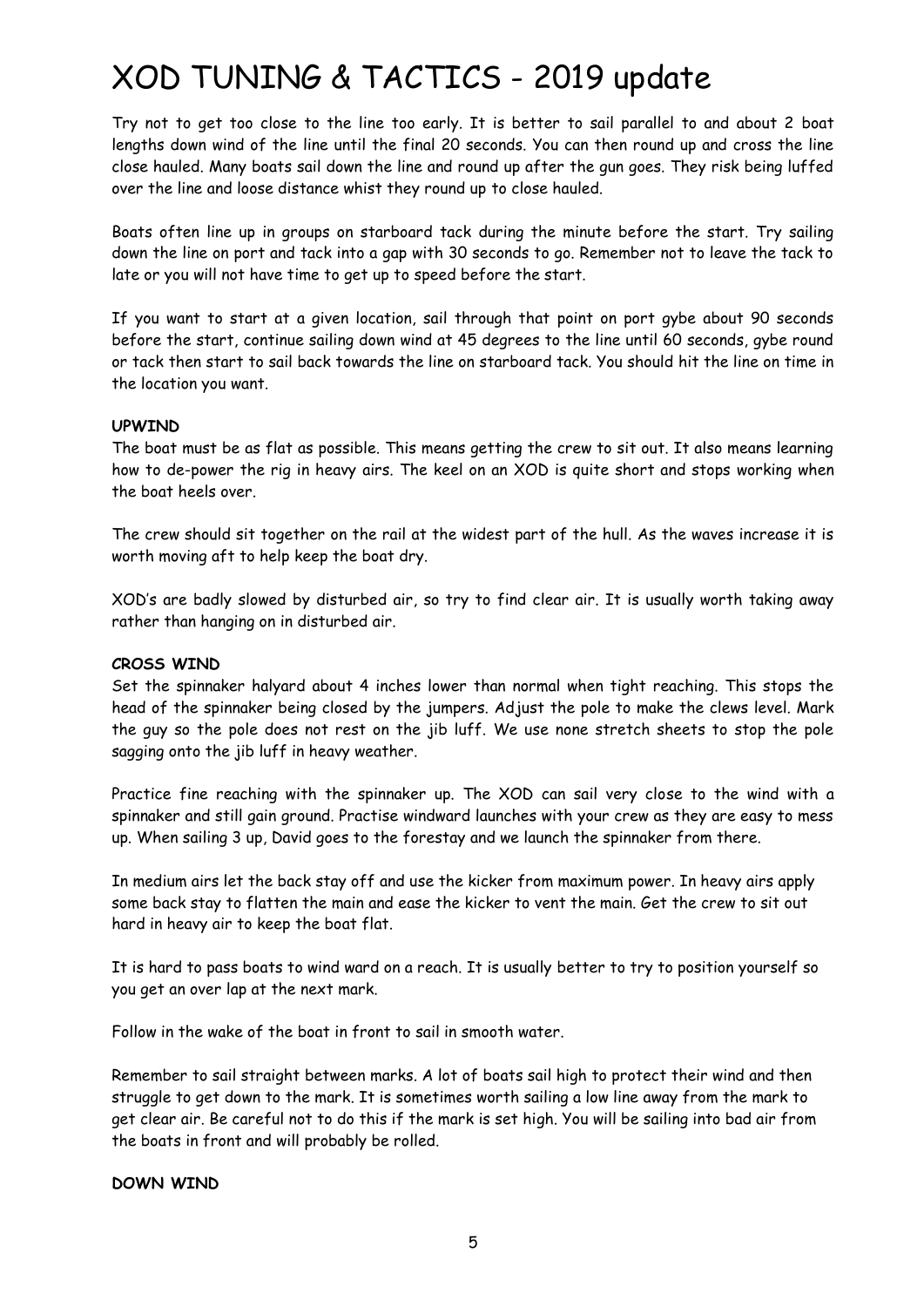Try not to get too close to the line too early. It is better to sail parallel to and about 2 boat lengths down wind of the line until the final 20 seconds. You can then round up and cross the line close hauled. Many boats sail down the line and round up after the gun goes. They risk being luffed over the line and loose distance whist they round up to close hauled.

Boats often line up in groups on starboard tack during the minute before the start. Try sailing down the line on port and tack into a gap with 30 seconds to go. Remember not to leave the tack to late or you will not have time to get up to speed before the start.

If you want to start at a given location, sail through that point on port gybe about 90 seconds before the start, continue sailing down wind at 45 degrees to the line until 60 seconds, gybe round or tack then start to sail back towards the line on starboard tack. You should hit the line on time in the location you want.

## **UPWIND**

The boat must be as flat as possible. This means getting the crew to sit out. It also means learning how to de-power the rig in heavy airs. The keel on an XOD is quite short and stops working when the boat heels over.

The crew should sit together on the rail at the widest part of the hull. As the waves increase it is worth moving aft to help keep the boat dry.

XOD's are badly slowed by disturbed air, so try to find clear air. It is usually worth taking away rather than hanging on in disturbed air.

#### **CROSS WIND**

Set the spinnaker halyard about 4 inches lower than normal when tight reaching. This stops the head of the spinnaker being closed by the jumpers. Adjust the pole to make the clews level. Mark the guy so the pole does not rest on the jib luff. We use none stretch sheets to stop the pole sagging onto the jib luff in heavy weather.

Practice fine reaching with the spinnaker up. The XOD can sail very close to the wind with a spinnaker and still gain ground. Practise windward launches with your crew as they are easy to mess up. When sailing 3 up, David goes to the forestay and we launch the spinnaker from there.

In medium airs let the back stay off and use the kicker from maximum power. In heavy airs apply some back stay to flatten the main and ease the kicker to vent the main. Get the crew to sit out hard in heavy air to keep the boat flat.

It is hard to pass boats to wind ward on a reach. It is usually better to try to position yourself so you get an over lap at the next mark.

Follow in the wake of the boat in front to sail in smooth water.

Remember to sail straight between marks. A lot of boats sail high to protect their wind and then struggle to get down to the mark. It is sometimes worth sailing a low line away from the mark to get clear air. Be careful not to do this if the mark is set high. You will be sailing into bad air from the boats in front and will probably be rolled.

## **DOWN WIND**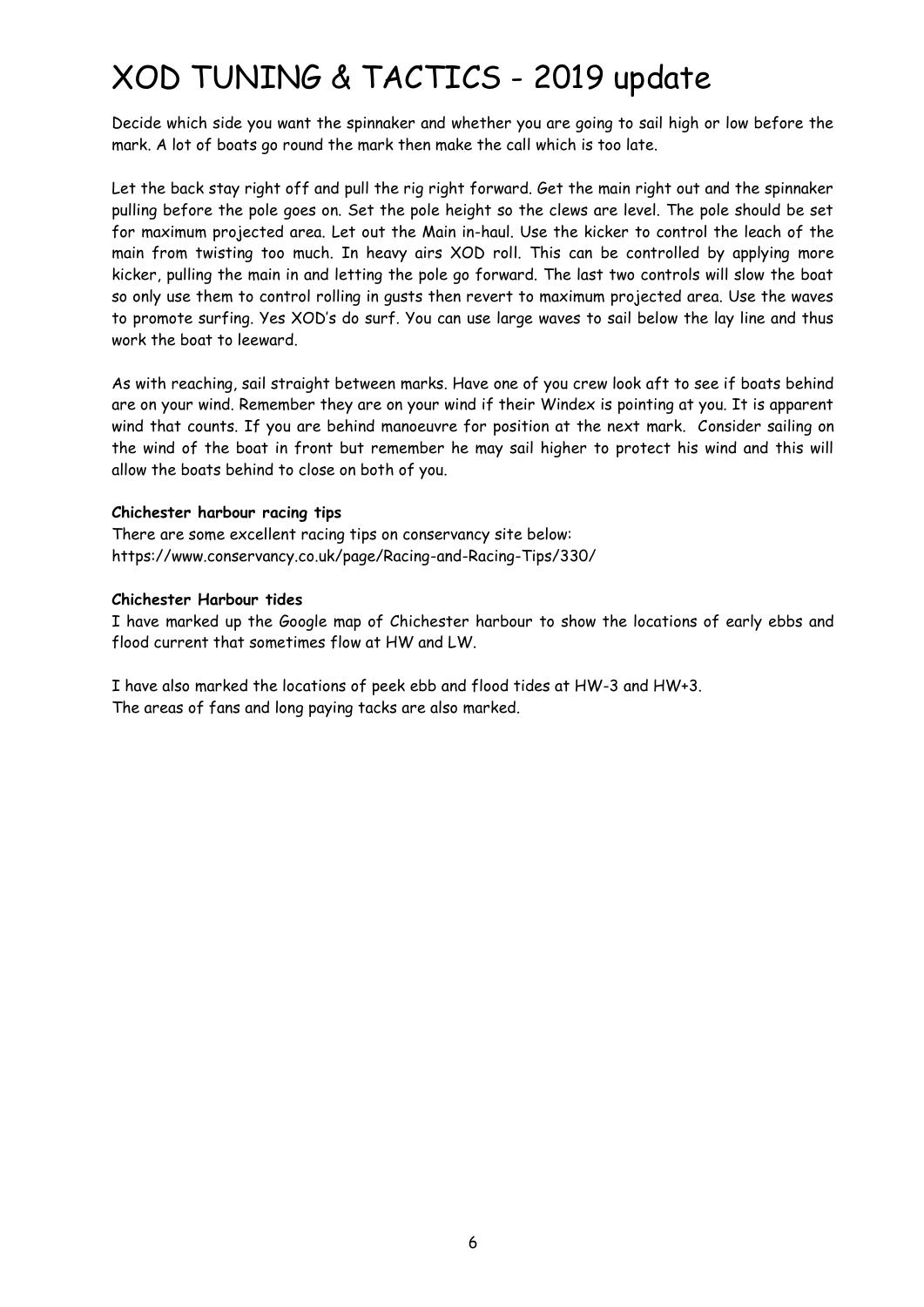Decide which side you want the spinnaker and whether you are going to sail high or low before the mark. A lot of boats go round the mark then make the call which is too late.

Let the back stay right off and pull the rig right forward. Get the main right out and the spinnaker pulling before the pole goes on. Set the pole height so the clews are level. The pole should be set for maximum projected area. Let out the Main in-haul. Use the kicker to control the leach of the main from twisting too much. In heavy airs XOD roll. This can be controlled by applying more kicker, pulling the main in and letting the pole go forward. The last two controls will slow the boat so only use them to control rolling in gusts then revert to maximum projected area. Use the waves to promote surfing. Yes XOD's do surf. You can use large waves to sail below the lay line and thus work the boat to leeward.

As with reaching, sail straight between marks. Have one of you crew look aft to see if boats behind are on your wind. Remember they are on your wind if their Windex is pointing at you. It is apparent wind that counts. If you are behind manoeuvre for position at the next mark. Consider sailing on the wind of the boat in front but remember he may sail higher to protect his wind and this will allow the boats behind to close on both of you.

#### **Chichester harbour racing tips**

There are some excellent racing tips on conservancy site below: https://www.conservancy.co.uk/page/Racing-and-Racing-Tips/330/

#### **Chichester Harbour tides**

I have marked up the Google map of Chichester harbour to show the locations of early ebbs and flood current that sometimes flow at HW and LW.

I have also marked the locations of peek ebb and flood tides at HW-3 and HW+3. The areas of fans and long paying tacks are also marked.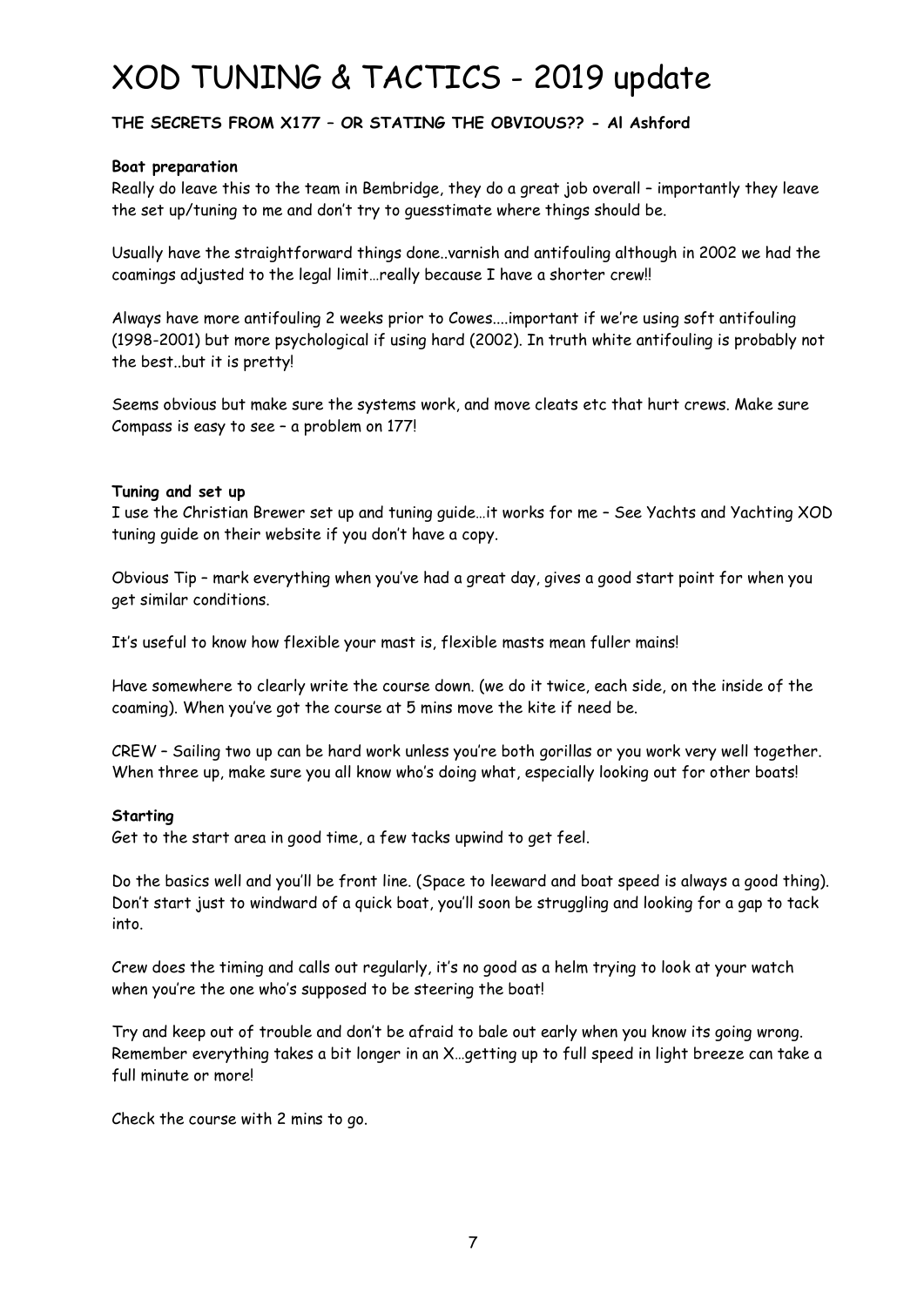## **THE SECRETS FROM X177 – OR STATING THE OBVIOUS?? - Al Ashford**

#### **Boat preparation**

Really do leave this to the team in Bembridge, they do a great job overall – importantly they leave the set up/tuning to me and don't try to guesstimate where things should be.

Usually have the straightforward things done..varnish and antifouling although in 2002 we had the coamings adjusted to the legal limit…really because I have a shorter crew!!

Always have more antifouling 2 weeks prior to Cowes....important if we're using soft antifouling (1998-2001) but more psychological if using hard (2002). In truth white antifouling is probably not the best..but it is pretty!

Seems obvious but make sure the systems work, and move cleats etc that hurt crews. Make sure Compass is easy to see – a problem on 177!

#### **Tuning and set up**

I use the Christian Brewer set up and tuning guide…it works for me – See Yachts and Yachting XOD tuning guide on their website if you don't have a copy.

Obvious Tip – mark everything when you've had a great day, gives a good start point for when you get similar conditions.

It's useful to know how flexible your mast is, flexible masts mean fuller mains!

Have somewhere to clearly write the course down. (we do it twice, each side, on the inside of the coaming). When you've got the course at 5 mins move the kite if need be.

CREW – Sailing two up can be hard work unless you're both gorillas or you work very well together. When three up, make sure you all know who's doing what, especially looking out for other boats!

#### **Starting**

Get to the start area in good time, a few tacks upwind to get feel.

Do the basics well and you'll be front line. (Space to leeward and boat speed is always a good thing). Don't start just to windward of a quick boat, you'll soon be struggling and looking for a gap to tack into.

Crew does the timing and calls out regularly, it's no good as a helm trying to look at your watch when you're the one who's supposed to be steering the boat!

Try and keep out of trouble and don't be afraid to bale out early when you know its going wrong. Remember everything takes a bit longer in an X…getting up to full speed in light breeze can take a full minute or more!

Check the course with 2 mins to go.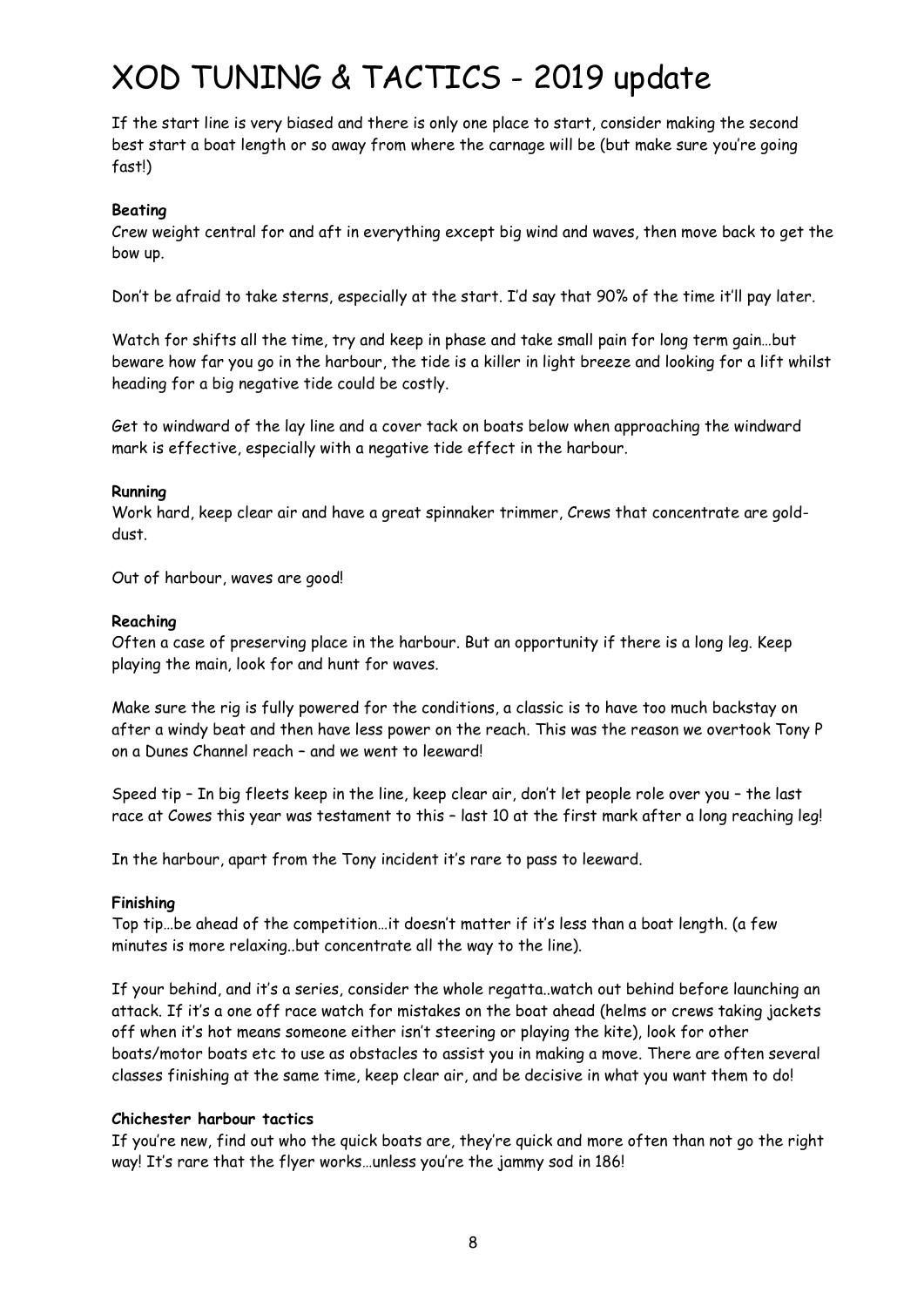If the start line is very biased and there is only one place to start, consider making the second best start a boat length or so away from where the carnage will be (but make sure you're going fast!)

## **Beating**

Crew weight central for and aft in everything except big wind and waves, then move back to get the bow up.

Don't be afraid to take sterns, especially at the start. I'd say that 90% of the time it'll pay later.

Watch for shifts all the time, try and keep in phase and take small pain for long term gain…but beware how far you go in the harbour, the tide is a killer in light breeze and looking for a lift whilst heading for a big negative tide could be costly.

Get to windward of the lay line and a cover tack on boats below when approaching the windward mark is effective, especially with a negative tide effect in the harbour.

## **Running**

Work hard, keep clear air and have a great spinnaker trimmer, Crews that concentrate are golddust.

Out of harbour, waves are good!

## **Reaching**

Often a case of preserving place in the harbour. But an opportunity if there is a long leg. Keep playing the main, look for and hunt for waves.

Make sure the rig is fully powered for the conditions, a classic is to have too much backstay on after a windy beat and then have less power on the reach. This was the reason we overtook Tony P on a Dunes Channel reach – and we went to leeward!

Speed tip – In big fleets keep in the line, keep clear air, don't let people role over you – the last race at Cowes this year was testament to this – last 10 at the first mark after a long reaching leg!

In the harbour, apart from the Tony incident it's rare to pass to leeward.

#### **Finishing**

Top tip…be ahead of the competition…it doesn't matter if it's less than a boat length. (a few minutes is more relaxing..but concentrate all the way to the line).

If your behind, and it's a series, consider the whole regatta..watch out behind before launching an attack. If it's a one off race watch for mistakes on the boat ahead (helms or crews taking jackets off when it's hot means someone either isn't steering or playing the kite), look for other boats/motor boats etc to use as obstacles to assist you in making a move. There are often several classes finishing at the same time, keep clear air, and be decisive in what you want them to do!

#### **Chichester harbour tactics**

If you're new, find out who the quick boats are, they're quick and more often than not go the right way! It's rare that the flyer works…unless you're the jammy sod in 186!